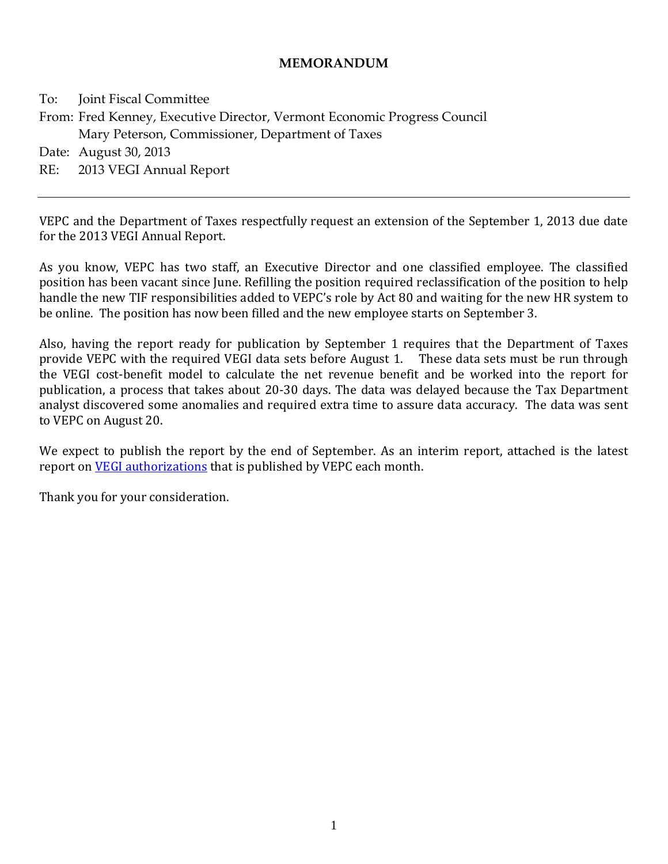## **MEMORANDUM**

To: Joint Fiscal Committee From: Fred Kenney, Executive Director, Vermont Economic Progress Council Mary Peterson, Commissioner, Department of Taxes Date: August 30, 2013 RE: 2013 VEGI Annual Report

VEPC and the Department of Taxes respectfully request an extension of the September 1, 2013 due date for the 2013 VEGI Annual Report.

As you know, VEPC has two staff, an Executive Director and one classified employee. The classified position has been vacant since June. Refilling the position required reclassification of the position to help handle the new TIF responsibilities added to VEPC's role by Act 80 and waiting for the new HR system to be online. The position has now been filled and the new employee starts on September 3.

Also, having the report ready for publication by September 1 requires that the Department of Taxes provide VEPC with the required VEGI data sets before August 1. These data sets must be run through the VEGI cost-benefit model to calculate the net revenue benefit and be worked into the report for publication, a process that takes about 20-30 days. The data was delayed because the Tax Department analyst discovered some anomalies and required extra time to assure data accuracy. The data was sent to VEPC on August 20.

Weexpec[t to publish the rep](http://accd.vermont.gov/sites/accd/files/Documents/business/vegi/VEGI-Summary-Active-Aug2013.pdf)ort by the end of September. As an interim report, attached is the latest report on VEGI authorizations that is published by VEPC each month.

Thank you for your consideration.